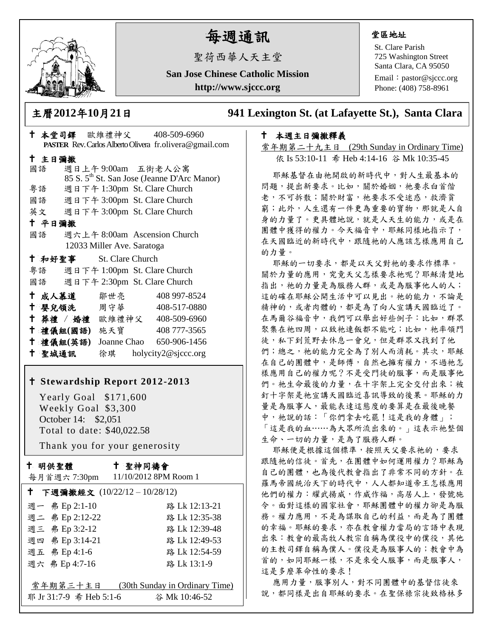

# 每週通訊

聖荷西華人天主堂

**San Jose Chinese Catholic Mission http://www.sjccc.org**

### 堂區地址

St. Clare Parish 725 Washington Street Santa Clara, CA 95050

Email: [pastor@sjccc.org](mailto:pastor@sjccc.org) Phone: (408) 758-8961

主曆**2012**年**10**月**21**日 **941 Lexington St. (at Lafayette St.), Santa Clara** 

# 本週主日彌撒釋義

常年期第二十九主日 (29th Sunday in Ordinary Time) 依 Is 53:10-11 希 Heb 4:14-16 谷 Mk 10:35-45

耶穌基督在由祂開啟的新時代中,對人生最基本的 問題,提出新要求。比如,關於婚姻,祂要求白首偕 老,不可拆散;關於財富,祂要求不受迷惑,救濟貧 窮;此外,人生還有一件更為重要的寶物,那就是人自 身的力量了。更具體地說,就是人天生的能力,或是在 團體中獲得的權力。今天福音中,耶穌同樣地指示了, 在天國臨近的新時代中,跟隨祂的人應該怎樣應用自己 的力量。

耶穌的一切要求,都是以天父對祂的要求作標準。 關於力量的應用,究竟天父怎樣要求祂呢?耶穌清楚地 指出,祂的力量是為服務人群,或是為服事他人的人; 這的確在耶穌公開生活中可以見出。祂的能力,不論是 精神的,或者肉體的,都是為了向人宣講天國臨近了。 在馬爾谷福音中,我們可以舉出好些例子:比如,群眾 聚集在祂四周,以致祂連飯都不能吃;比如,祂率領門 徒,私下到荒野去休息一會兒,但是群眾又找到了他 們;總之,祂的能力完全為了別人而消耗。其次,耶穌 在自己的團體中,是師傅,自然也擁有權力,不過祂怎 樣應用自己的權力呢?不是受門徒的服事,而是服事他 們。祂生命最後的力量,在十字架上完全交付出來;被 釘十字架是祂宣講天國臨近喜訊導致的後果。耶穌的力 量是為服事人,最能表達這態度的要算是在最後晚餐 中,祂說的話:「你們拿去吃罷!這是我的身體」; 「這是我的血……為大眾所流出來的。」這表示祂整個 生命、一切的力量,是為了服務人群。

耶穌便是根據這個標準,按照天父要求祂的,要求 跟隨祂的信徒。首先,在團體中如何運用權力?耶穌為 自己的團體,也為後代教會指出了非常不同的方針。在 羅馬帝國統治天下的時代中,人人都知道帝王怎樣應用 他們的權力:耀武揚威,作威作福,高居人上,發號施 令。面對這樣的國家社會,耶穌團體中的權力卻是為服 務。權力應用,不是為謀取自己的利益,而是為了團體 的幸福。耶穌的要求,亦在教會權力當局的言語中表現 出來:教會的最高牧人教宗自稱為僕役中的僕役,其他 的主教司鐸自稱為僕人。僕役是為服事人的;教會中為 首的,如同耶穌一樣,不是來受人服事,而是服事人, 這是多麼革命性的要求!

應用力量,服事別人,對不同團體中的基督信徒來 說,都同樣是出自耶穌的要求。在聖保祿宗徒致格林多

|    |           |                                    | PASTER Rev. Carlos Alberto Olivera fr.olivera@gmail.com |
|----|-----------|------------------------------------|---------------------------------------------------------|
|    | 十 主日彌撒    |                                    |                                                         |
| 國語 |           |                                    | 週日上午9:00am 五街老人公寓                                       |
|    |           |                                    | 85 S. 5 <sup>th</sup> St. San Jose (Jeanne D'Arc Manor) |
|    |           |                                    | 粤語 週日下午 1:30pm St. Clare Church                         |
|    |           |                                    | 國語 週日下午 3:00pm St. Clare Church                         |
|    |           |                                    | 英文 週日下午 3:00pm St. Clare Church                         |
|    | 十 平日彌撒    |                                    |                                                         |
| 國語 |           |                                    | 週六上午 8:00am Ascension Church                            |
|    |           | 12033 Miller Ave. Saratoga         |                                                         |
|    |           | <sup>†</sup> 和好聖事 St. Clare Church |                                                         |
|    |           |                                    | 粤語 週日下午 1:00pm St. Clare Church                         |
|    |           |                                    | 國語 週日下午 2:30pm St. Clare Church                         |
|    |           | ← 成人慕道   鄒世亮                       | 408 997-8524                                            |
|    |           |                                    | † 嬰兒領洗 周守華 408-517-0880                                 |
|    |           |                                    | † 葬禮 / 婚禮 歐維禮神父 408-509-6960                            |
|    |           | 十 禮儀組(國語) 施天寶                      | 408 777-3565                                            |
|    | 十 禮儀組(英語) |                                    | Joanne Chao 650-906-1456                                |
|    | 十 聖城通訊    |                                    | 徐琪 holycity2@sjccc.org                                  |

十 本堂司鐸 歐維禮神父 408-509-6960

## **Stewardship Report 2012-2013**

 Yearly Goal \$171,600 Weekly Goal \$3,300 October 14: \$2,051 Total to date: \$40,022.58

Thank you for your generosity

| t |  | 明供聖體 |
|---|--|------|
|---|--|------|

聖神同禱會

| 每月首週六 7:30pm                             | 11/10/2012 8PM Room 1          |  |  |  |
|------------------------------------------|--------------------------------|--|--|--|
| ↑ 下週彌撒經文 (10/22/12-10/28/12)             |                                |  |  |  |
| 週一 弗 Ep 2:1-10                           | 路 Lk 12:13-21                  |  |  |  |
| 週二 弗 Ep 2:12-22                          | 路 Lk 12:35-38                  |  |  |  |
| 週三 弗 Ep 3:2-12                           | 路 Lk 12:39-48                  |  |  |  |
| 週四 弗 Ep 3:14-21                          | 路 Lk 12:49-53                  |  |  |  |
| 週五 弗 Ep 4:1-6                            | 路 Lk 12:54-59                  |  |  |  |
| 週六 弗 Ep 4:7-16                           | 路 Lk 13:1-9                    |  |  |  |
|                                          |                                |  |  |  |
| 常年期第三十主日                                 | (30th Sunday in Ordinary Time) |  |  |  |
| 耶 Jr 31:7-9 希 Heb 5:1-6<br>谷 Mk 10:46-52 |                                |  |  |  |
|                                          |                                |  |  |  |